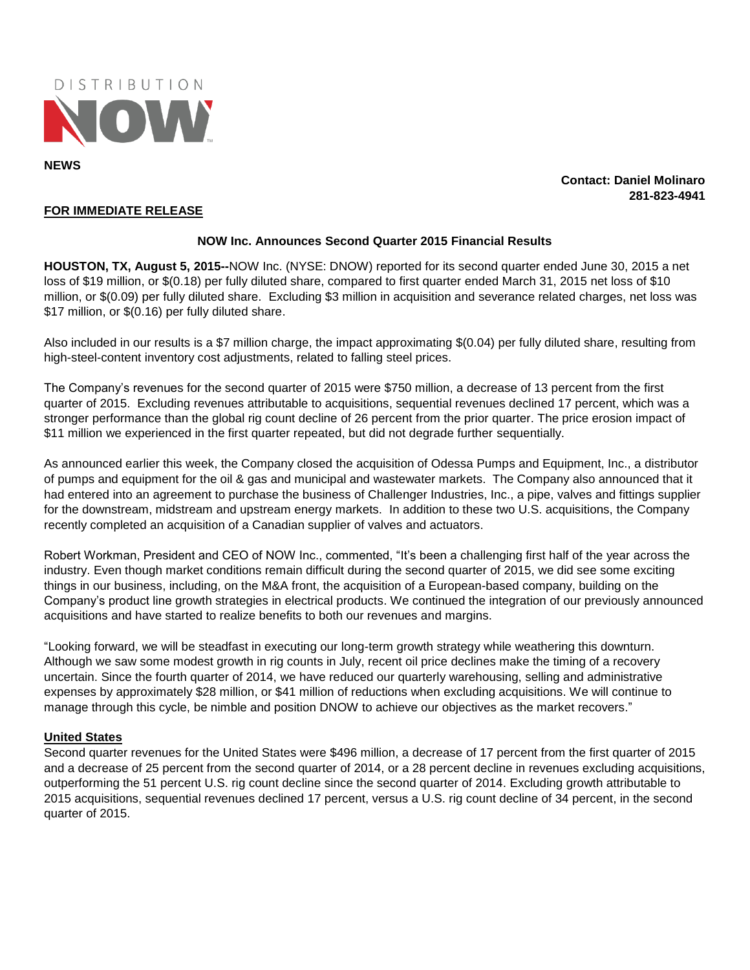

**Contact: Daniel Molinaro 281-823-4941**

## **FOR IMMEDIATE RELEASE**

#### **NOW Inc. Announces Second Quarter 2015 Financial Results**

**HOUSTON, TX, August 5, 2015--**NOW Inc. (NYSE: DNOW) reported for its second quarter ended June 30, 2015 a net loss of \$19 million, or \$(0.18) per fully diluted share, compared to first quarter ended March 31, 2015 net loss of \$10 million, or \$(0.09) per fully diluted share. Excluding \$3 million in acquisition and severance related charges, net loss was \$17 million, or \$(0.16) per fully diluted share.

Also included in our results is a \$7 million charge, the impact approximating \$(0.04) per fully diluted share, resulting from high-steel-content inventory cost adjustments, related to falling steel prices.

The Company's revenues for the second quarter of 2015 were \$750 million, a decrease of 13 percent from the first quarter of 2015. Excluding revenues attributable to acquisitions, sequential revenues declined 17 percent, which was a stronger performance than the global rig count decline of 26 percent from the prior quarter. The price erosion impact of \$11 million we experienced in the first quarter repeated, but did not degrade further sequentially.

As announced earlier this week, the Company closed the acquisition of Odessa Pumps and Equipment, Inc., a distributor of pumps and equipment for the oil & gas and municipal and wastewater markets. The Company also announced that it had entered into an agreement to purchase the business of Challenger Industries, Inc., a pipe, valves and fittings supplier for the downstream, midstream and upstream energy markets. In addition to these two U.S. acquisitions, the Company recently completed an acquisition of a Canadian supplier of valves and actuators.

Robert Workman, President and CEO of NOW Inc., commented, "It's been a challenging first half of the year across the industry. Even though market conditions remain difficult during the second quarter of 2015, we did see some exciting things in our business, including, on the M&A front, the acquisition of a European-based company, building on the Company's product line growth strategies in electrical products. We continued the integration of our previously announced acquisitions and have started to realize benefits to both our revenues and margins.

"Looking forward, we will be steadfast in executing our long-term growth strategy while weathering this downturn. Although we saw some modest growth in rig counts in July, recent oil price declines make the timing of a recovery uncertain. Since the fourth quarter of 2014, we have reduced our quarterly warehousing, selling and administrative expenses by approximately \$28 million, or \$41 million of reductions when excluding acquisitions. We will continue to manage through this cycle, be nimble and position DNOW to achieve our objectives as the market recovers."

## **United States**

Second quarter revenues for the United States were \$496 million, a decrease of 17 percent from the first quarter of 2015 and a decrease of 25 percent from the second quarter of 2014, or a 28 percent decline in revenues excluding acquisitions, outperforming the 51 percent U.S. rig count decline since the second quarter of 2014. Excluding growth attributable to 2015 acquisitions, sequential revenues declined 17 percent, versus a U.S. rig count decline of 34 percent, in the second quarter of 2015.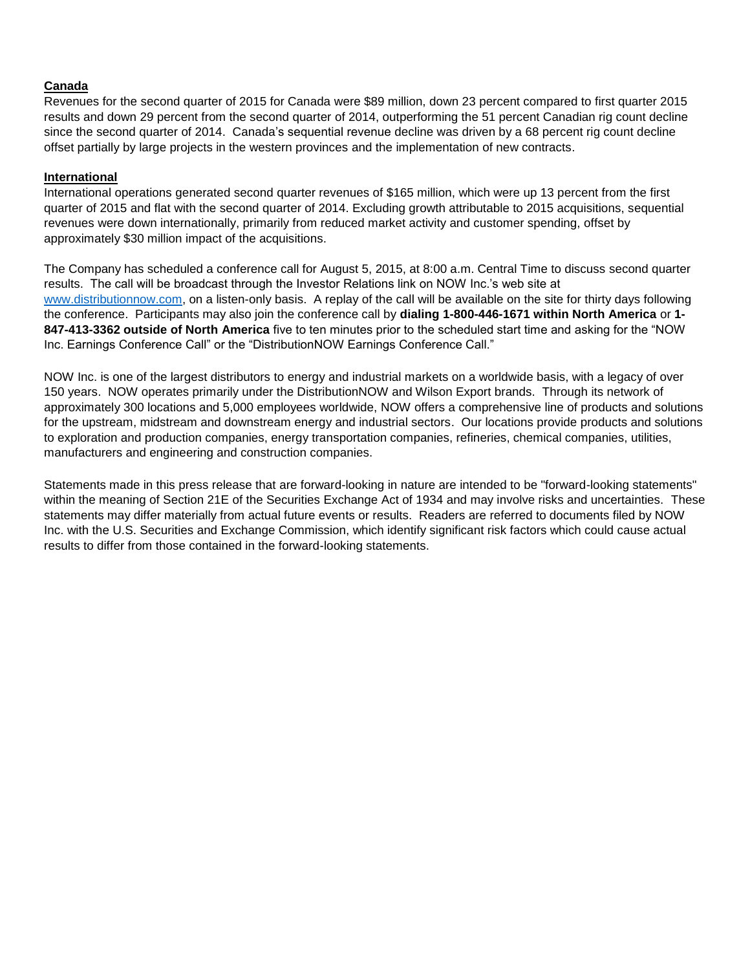# **Canada**

Revenues for the second quarter of 2015 for Canada were \$89 million, down 23 percent compared to first quarter 2015 results and down 29 percent from the second quarter of 2014, outperforming the 51 percent Canadian rig count decline since the second quarter of 2014. Canada's sequential revenue decline was driven by a 68 percent rig count decline offset partially by large projects in the western provinces and the implementation of new contracts.

# **International**

International operations generated second quarter revenues of \$165 million, which were up 13 percent from the first quarter of 2015 and flat with the second quarter of 2014. Excluding growth attributable to 2015 acquisitions, sequential revenues were down internationally, primarily from reduced market activity and customer spending, offset by approximately \$30 million impact of the acquisitions.

The Company has scheduled a conference call for August 5, 2015, at 8:00 a.m. Central Time to discuss second quarter results. The call will be broadcast through the Investor Relations link on NOW Inc.'s web site at [www.distributionnow.com,](http://www.distributionnow.com/) on a listen-only basis. A replay of the call will be available on the site for thirty days following the conference. Participants may also join the conference call by **dialing 1-800-446-1671 within North America** or **1- 847-413-3362 outside of North America** five to ten minutes prior to the scheduled start time and asking for the "NOW Inc. Earnings Conference Call" or the "DistributionNOW Earnings Conference Call."

NOW Inc. is one of the largest distributors to energy and industrial markets on a worldwide basis, with a legacy of over 150 years. NOW operates primarily under the DistributionNOW and Wilson Export brands. Through its network of approximately 300 locations and 5,000 employees worldwide, NOW offers a comprehensive line of products and solutions for the upstream, midstream and downstream energy and industrial sectors. Our locations provide products and solutions to exploration and production companies, energy transportation companies, refineries, chemical companies, utilities, manufacturers and engineering and construction companies.

Statements made in this press release that are forward-looking in nature are intended to be "forward-looking statements" within the meaning of Section 21E of the Securities Exchange Act of 1934 and may involve risks and uncertainties. These statements may differ materially from actual future events or results. Readers are referred to documents filed by NOW Inc. with the U.S. Securities and Exchange Commission, which identify significant risk factors which could cause actual results to differ from those contained in the forward-looking statements.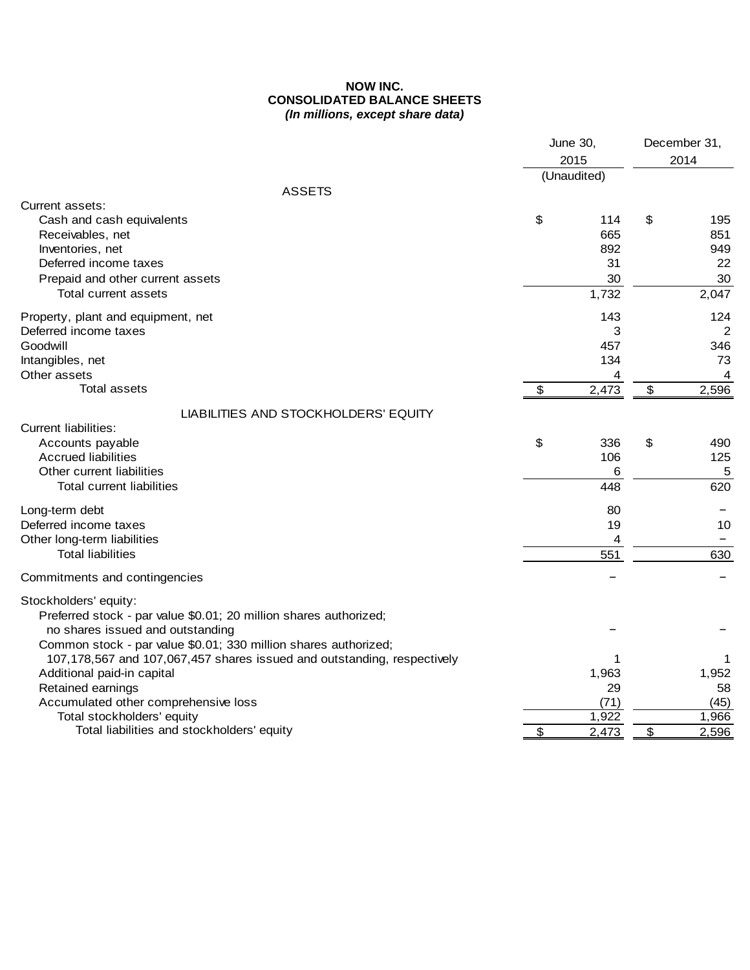# **NOW INC. CONSOLIDATED BALANCE SHEETS**  *(In millions, except share data)*

|                                                                         | June 30,    | December 31, |       |  |
|-------------------------------------------------------------------------|-------------|--------------|-------|--|
|                                                                         | 2015        |              | 2014  |  |
|                                                                         | (Unaudited) |              |       |  |
| <b>ASSETS</b>                                                           |             |              |       |  |
| Current assets:                                                         |             |              |       |  |
| Cash and cash equivalents                                               | \$<br>114   | \$           | 195   |  |
| Receivables, net                                                        | 665         |              | 851   |  |
| Inventories, net                                                        | 892         |              | 949   |  |
| Deferred income taxes                                                   | 31          |              | 22    |  |
| Prepaid and other current assets                                        | 30          |              | 30    |  |
| Total current assets                                                    | 1,732       |              | 2,047 |  |
| Property, plant and equipment, net                                      | 143         |              | 124   |  |
| Deferred income taxes                                                   | 3           |              | 2     |  |
| Goodwill                                                                | 457         |              | 346   |  |
| Intangibles, net                                                        | 134         |              | 73    |  |
| Other assets                                                            | 4           |              | 4     |  |
| <b>Total assets</b>                                                     | \$<br>2,473 | \$           | 2,596 |  |
| LIABILITIES AND STOCKHOLDERS' EQUITY                                    |             |              |       |  |
| Current liabilities:                                                    |             |              |       |  |
| Accounts payable                                                        | \$<br>336   | \$           | 490   |  |
| <b>Accrued liabilities</b>                                              | 106         |              | 125   |  |
| Other current liabilities                                               | 6           |              | 5     |  |
| Total current liabilities                                               | 448         |              | 620   |  |
| Long-term debt                                                          | 80          |              |       |  |
| Deferred income taxes                                                   | 19          |              | 10    |  |
| Other long-term liabilities                                             | 4           |              |       |  |
| <b>Total liabilities</b>                                                | 551         |              | 630   |  |
| Commitments and contingencies                                           |             |              |       |  |
| Stockholders' equity:                                                   |             |              |       |  |
| Preferred stock - par value \$0.01; 20 million shares authorized;       |             |              |       |  |
| no shares issued and outstanding                                        |             |              |       |  |
| Common stock - par value \$0.01; 330 million shares authorized;         |             |              |       |  |
| 107,178,567 and 107,067,457 shares issued and outstanding, respectively | 1           |              | 1     |  |
| Additional paid-in capital                                              | 1,963       |              | 1,952 |  |
| Retained earnings                                                       | 29          |              | 58    |  |
| Accumulated other comprehensive loss                                    | (71)        |              | (45)  |  |
| Total stockholders' equity                                              | 1,922       |              | 1,966 |  |
| Total liabilities and stockholders' equity                              | \$<br>2,473 | \$           | 2,596 |  |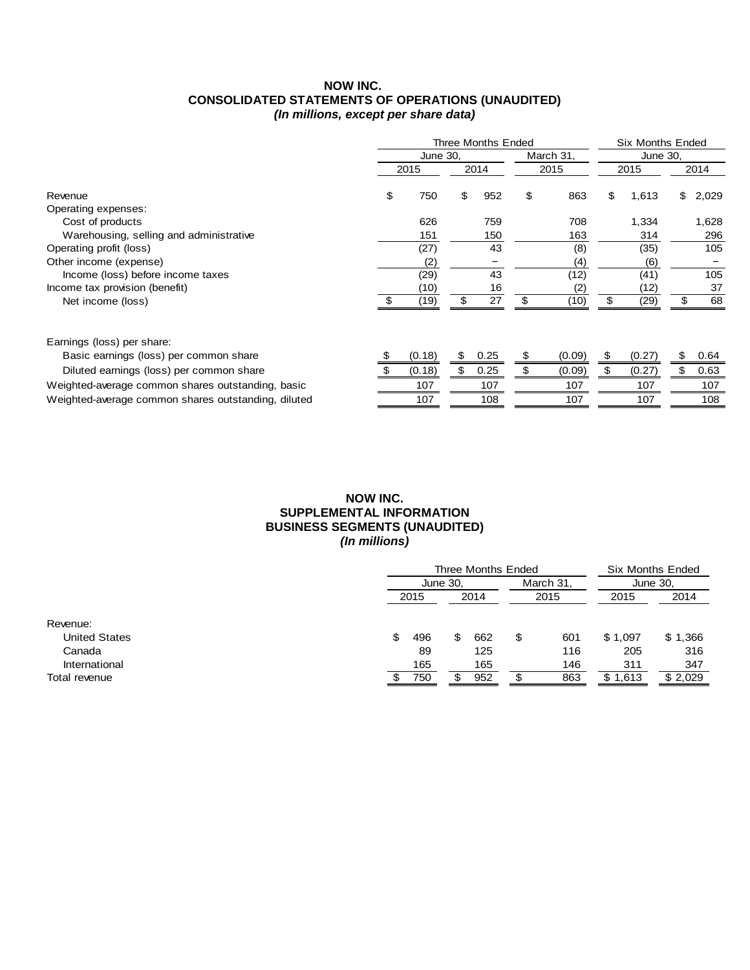## **NOW INC. CONSOLIDATED STATEMENTS OF OPERATIONS (UNAUDITED)**  *(In millions, except per share data)*

|                                                     | Three Months Ended |    | <b>Six Months Ended</b> |     |           |      |          |     |       |
|-----------------------------------------------------|--------------------|----|-------------------------|-----|-----------|------|----------|-----|-------|
|                                                     | June 30,           |    |                         |     | March 31, |      | June 30. |     |       |
|                                                     | 2015               |    | 2014                    |     | 2015      | 2015 |          |     | 2014  |
| Revenue                                             | \$<br>750          | \$ | 952                     | \$  | 863       | \$   | 1,613    | \$. | 2,029 |
| Operating expenses:                                 |                    |    |                         |     |           |      |          |     |       |
| Cost of products                                    | 626                |    | 759                     |     | 708       |      | 1,334    |     | 1,628 |
| Warehousing, selling and administrative             | 151                |    | 150                     |     | 163       |      | 314      |     | 296   |
| Operating profit (loss)                             | (27)               |    | 43                      |     | (8)       |      | (35)     |     | 105   |
| Other income (expense)                              | (2)                |    |                         |     | (4)       |      | (6)      |     |       |
| Income (loss) before income taxes                   | (29)               |    | 43                      |     | (12)      |      | (41)     |     | 105   |
| Income tax provision (benefit)                      | (10)               |    | 16                      |     | (2)       |      | (12)     |     | 37    |
| Net income (loss)                                   | (19)               | \$ | 27                      | S   | (10)      | \$   | (29)     | \$  | 68    |
| Earnings (loss) per share:                          |                    |    |                         |     |           |      |          |     |       |
| Basic earnings (loss) per common share              | (0.18)             |    | 0.25                    | \$. | (0.09)    | S    | (0.27)   | \$  | 0.64  |
| Diluted earnings (loss) per common share            | (0.18)             |    | 0.25                    |     | (0.09)    |      | (0.27)   |     | 0.63  |
| Weighted-average common shares outstanding, basic   | 107                |    | 107                     |     | 107       |      | 107      |     | 107   |
| Weighted-average common shares outstanding, diluted | 107                |    | 108                     |     | 107       |      | 107      |     | 108   |

## **NOW INC. SUPPLEMENTAL INFORMATION BUSINESS SEGMENTS (UNAUDITED)**  *(In millions)*

|                      | Three Months Ended | <b>Six Months Ended</b> |      |   |           |              |         |  |
|----------------------|--------------------|-------------------------|------|---|-----------|--------------|---------|--|
|                      | June 30,           |                         |      |   | March 31. | June 30,     |         |  |
|                      | 2015               |                         | 2014 |   | 2015      | 2015         | 2014    |  |
|                      |                    |                         |      |   |           |              |         |  |
| Revenue:             |                    |                         |      |   |           |              |         |  |
| <b>United States</b> | \$<br>496          | \$                      | 662  | S | 601       | \$1,097      | \$1,366 |  |
| Canada               | 89                 |                         | 125  |   | 116       | 205          | 316     |  |
| International        | 165                |                         | 165  |   | 146       | 311          | 347     |  |
| Total revenue        | 750                |                         | 952  |   | 863       | \$1<br>1,613 | \$2,029 |  |